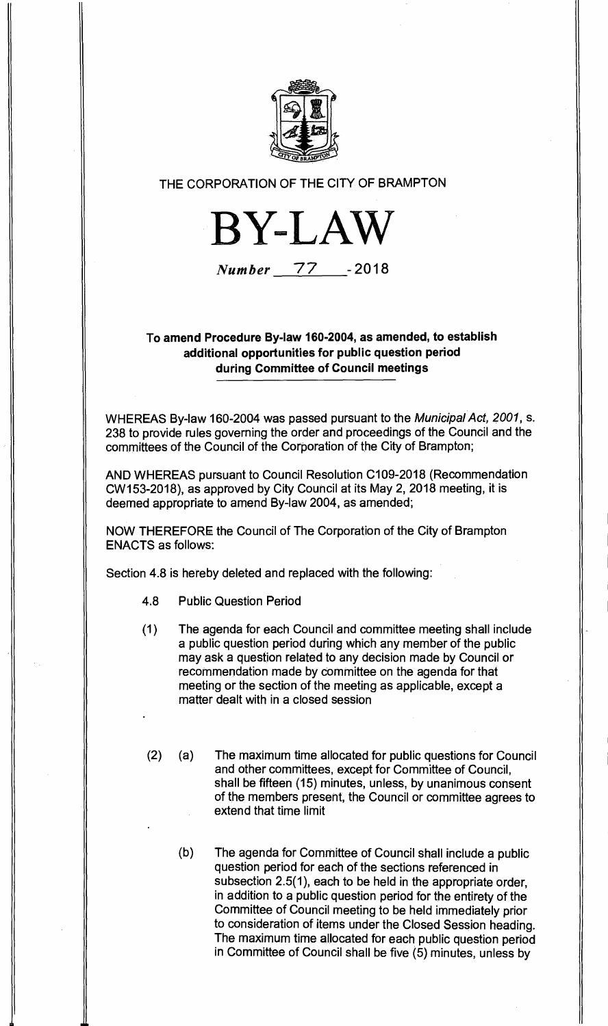

## **THE CORPORATION OF THE CITY OF BRAMPTON**



**Number 77 - 2018** 

## **To amend Procedure By-law 160-2004, as amended, to establish additional opportunities for public question period during Committee of Council meetings**

**WHEREAS By-law 160-2004 was passed pursuant to the** *Municipal Act, 2001,* **s. 238 to provide rules governing the order and proceedings of the Council and the committees of the Council of the Corporation of the City of Brampton;** 

**AND WHEREAS pursuant to Council Resolution C109-2018 (Recommendation CW153-2018), as approved by City Council at its May 2, 2018 meeting, it is deemed appropriate to amend By-law 2004, as amended;** 

**NOW THEREFORE the Council of The Corporation of the City of Brampton ENACTS as follows:** 

**Section 4.8 is hereby deleted and replaced with the following:** 

- **4.8 Public Question Period**
- **(1) The agenda for each Council and committee meeting shall include a public question period during which any member of the public may ask a question related to any decision made by Council or recommendation made by committee on the agenda for that meeting or the section of the meeting as applicable, except a matter dealt with in a closed session**
- **(2) (a) The maximum time allocated for public questions for Council and other committees, except for Committee of Council, shall be fifteen (15) minutes, unless, by unanimous consent of the members present, the Council or committee agrees to extend that time limit** 
	- **(b) The agenda for Committee of Council shall include a public question period for each of the sections referenced in subsection 2.5(1), each to be held in the appropriate order, in addition to a public question period for the entirety of the Committee of Council meeting to be held immediately prior to consideration of items under the Closed Session heading. The maximum time allocated for each public question period in Committee of Council shall be five (5) minutes, unless by**